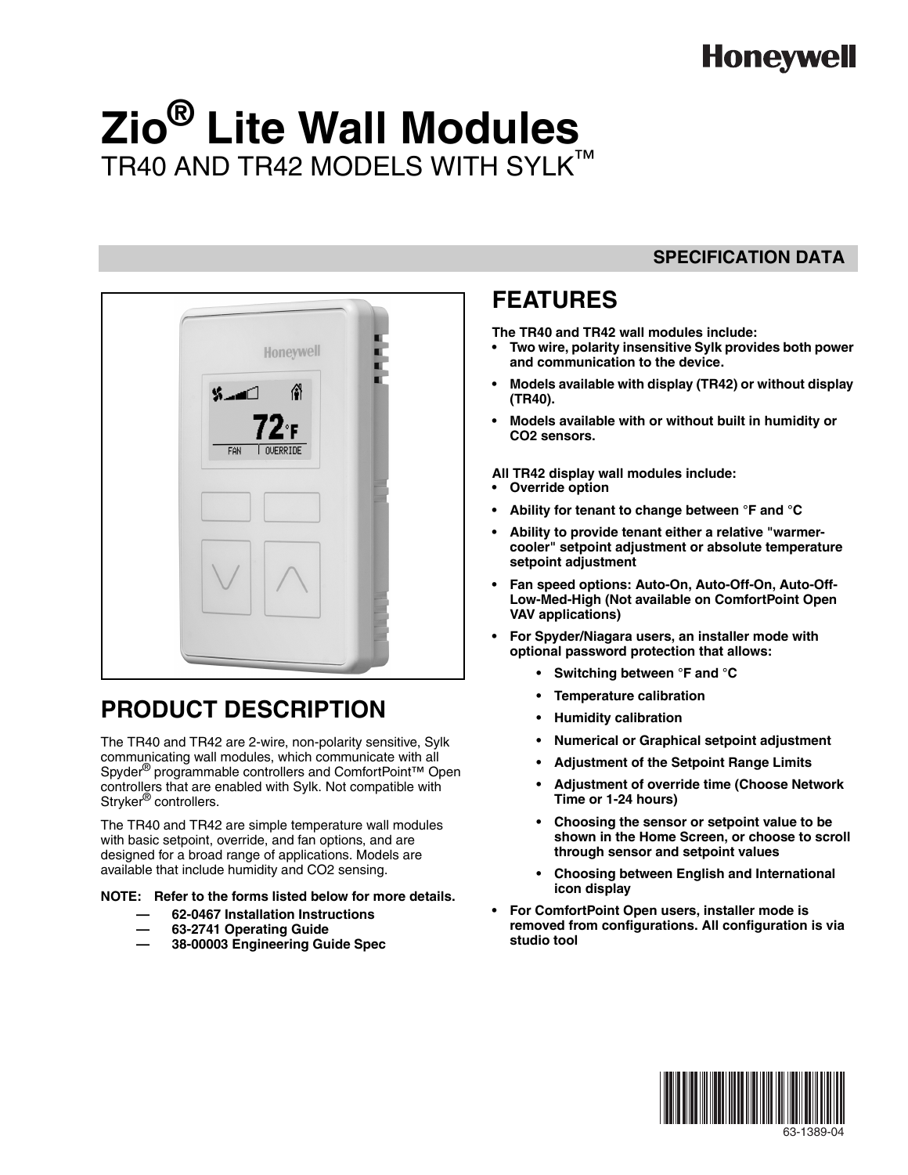## **Honeywell**

# **Zio® Lite Wall Modules** TR40 AND TR42 MODELS WITH SYLK™



### **PRODUCT DESCRIPTION**

The TR40 and TR42 are 2-wire, non-polarity sensitive, Sylk communicating wall modules, which communicate with all Spyder<sup>®</sup> programmable controllers and ComfortPoint<sup>™</sup> Open controllers that are enabled with Sylk. Not compatible with Stryker<sup>®</sup> controllers.

The TR40 and TR42 are simple temperature wall modules with basic setpoint, override, and fan options, and are designed for a broad range of applications. Models are available that include humidity and CO2 sensing.

#### **NOTE: Refer to the forms listed below for more details.**

- **62-0467 Installation Instructions**
- **63-2741 Operating Guide**
- **38-00003 Engineering Guide Spec**

#### **SPECIFICATION DATA**

### **FEATURES**

**The TR40 and TR42 wall modules include:**

- **Two wire, polarity insensitive Sylk provides both power and communication to the device.**
- **Models available with display (TR42) or without display (TR40).**
- **Models available with or without built in humidity or CO2 sensors.**

**All TR42 display wall modules include:**

- **Override option**
- **Ability for tenant to change between °F and °C**
- **Ability to provide tenant either a relative "warmercooler" setpoint adjustment or absolute temperature setpoint adjustment**
- **Fan speed options: Auto-On, Auto-Off-On, Auto-Off-Low-Med-High (Not available on ComfortPoint Open VAV applications)**
- **For Spyder/Niagara users, an installer mode with optional password protection that allows:**
	- **Switching between °F and °C**
	- **Temperature calibration**
	- **Humidity calibration**
	- **Numerical or Graphical setpoint adjustment**
	- **Adjustment of the Setpoint Range Limits**
	- **Adjustment of override time (Choose Network Time or 1-24 hours)**
	- **Choosing the sensor or setpoint value to be shown in the Home Screen, or choose to scroll through sensor and setpoint values**
	- **Choosing between English and International icon display**
- **For ComfortPoint Open users, installer mode is removed from configurations. All configuration is via studio tool**



63-1389-04